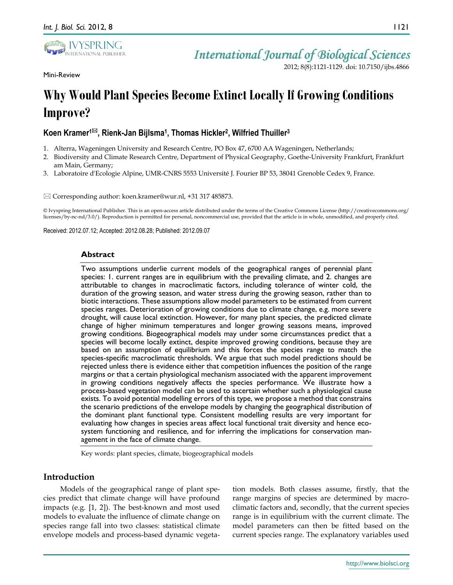

Mini-Review

# *International Journal of Biological Sciences*

2012; 8(8):1121-1129. doi: 10.7150/ijbs.4866

# **Why Would Plant Species Become Extinct Locally If Growing Conditions Improve?**

# Koen Kramer<sup>1⊠</sup>, Rienk-Jan Bijlsma<sup>1</sup>, Thomas Hickler<sup>2</sup>, Wilfried Thuiller<sup>3</sup>

- 1. Alterra, Wageningen University and Research Centre, PO Box 47, 6700 AA Wageningen, Netherlands;
- 2. Biodiversity and Climate Research Centre, Department of Physical Geography, Goethe-University Frankfurt, Frankfurt am Main, Germany;
- 3. Laboratoire d'Ecologie Alpine, UMR-CNRS 5553 Université J. Fourier BP 53, 38041 Grenoble Cedex 9, France.

Corresponding author: koen.kramer@wur.nl, +31 317 485873.

© Ivyspring International Publisher. This is an open-access article distributed under the terms of the Creative Commons License (http://creativecommons.org/ licenses/by-nc-nd/3.0/). Reproduction is permitted for personal, noncommercial use, provided that the article is in whole, unmodified, and properly cited.

Received: 2012.07.12; Accepted: 2012.08.28; Published: 2012.09.07

### **Abstract**

Two assumptions underlie current models of the geographical ranges of perennial plant species: 1. current ranges are in equilibrium with the prevailing climate, and 2. changes are attributable to changes in macroclimatic factors, including tolerance of winter cold, the duration of the growing season, and water stress during the growing season, rather than to biotic interactions. These assumptions allow model parameters to be estimated from current species ranges. Deterioration of growing conditions due to climate change, e.g. more severe drought, will cause local extinction. However, for many plant species, the predicted climate change of higher minimum temperatures and longer growing seasons means, improved growing conditions. Biogeographical models may under some circumstances predict that a species will become locally extinct, despite improved growing conditions, because they are based on an assumption of equilibrium and this forces the species range to match the species-specific macroclimatic thresholds. We argue that such model predictions should be rejected unless there is evidence either that competition influences the position of the range margins or that a certain physiological mechanism associated with the apparent improvement in growing conditions negatively affects the species performance. We illustrate how a process-based vegetation model can be used to ascertain whether such a physiological cause exists. To avoid potential modelling errors of this type, we propose a method that constrains the scenario predictions of the envelope models by changing the geographical distribution of the dominant plant functional type. Consistent modelling results are very important for evaluating how changes in species areas affect local functional trait diversity and hence ecosystem functioning and resilience, and for inferring the implications for conservation management in the face of climate change.

Key words: plant species, climate, biogeographical models

# **Introduction**

Models of the geographical range of plant species predict that climate change will have profound impacts (e.g. [1, 2]). The best-known and most used models to evaluate the influence of climate change on species range fall into two classes: statistical climate envelope models and process-based dynamic vegetation models. Both classes assume, firstly, that the range margins of species are determined by macroclimatic factors and, secondly, that the current species range is in equilibrium with the current climate. The model parameters can then be fitted based on the current species range. The explanatory variables used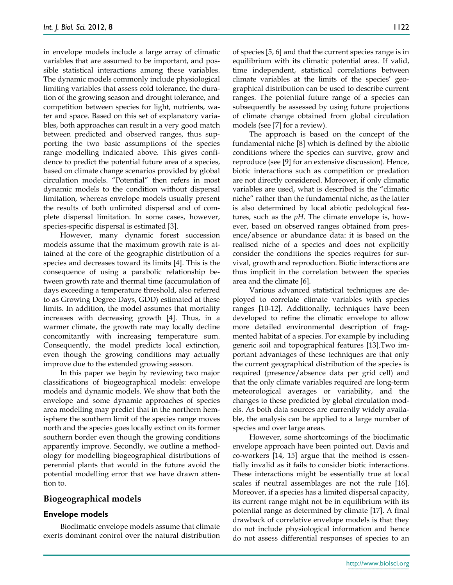in envelope models include a large array of climatic variables that are assumed to be important, and possible statistical interactions among these variables. The dynamic models commonly include physiological limiting variables that assess cold tolerance, the duration of the growing season and drought tolerance, and competition between species for light, nutrients, water and space. Based on this set of explanatory variables, both approaches can result in a very good match between predicted and observed ranges, thus supporting the two basic assumptions of the species range modelling indicated above. This gives confidence to predict the potential future area of a species, based on climate change scenarios provided by global circulation models. "Potential" then refers in most dynamic models to the condition without dispersal limitation, whereas envelope models usually present the results of both unlimited dispersal and of complete dispersal limitation. In some cases, however, species-specific dispersal is estimated [3].

However, many dynamic forest succession models assume that the maximum growth rate is attained at the core of the geographic distribution of a species and decreases toward its limits [4]. This is the consequence of using a parabolic relationship between growth rate and thermal time (accumulation of days exceeding a temperature threshold, also referred to as Growing Degree Days, GDD) estimated at these limits. In addition, the model assumes that mortality increases with decreasing growth [4]. Thus, in a warmer climate, the growth rate may locally decline concomitantly with increasing temperature sum. Consequently, the model predicts local extinction, even though the growing conditions may actually improve due to the extended growing season.

In this paper we begin by reviewing two major classifications of biogeographical models: envelope models and dynamic models. We show that both the envelope and some dynamic approaches of species area modelling may predict that in the northern hemisphere the southern limit of the species range moves north and the species goes locally extinct on its former southern border even though the growing conditions apparently improve. Secondly, we outline a methodology for modelling biogeographical distributions of perennial plants that would in the future avoid the potential modelling error that we have drawn attention to.

# **Biogeographical models**

# **Envelope models**

Bioclimatic envelope models assume that climate exerts dominant control over the natural distribution

of species [5, 6] and that the current species range is in equilibrium with its climatic potential area. If valid, time independent, statistical correlations between climate variables at the limits of the species' geographical distribution can be used to describe current ranges. The potential future range of a species can subsequently be assessed by using future projections of climate change obtained from global circulation models (see [7] for a review).

The approach is based on the concept of the fundamental niche [8] which is defined by the abiotic conditions where the species can survive, grow and reproduce (see [9] for an extensive discussion). Hence, biotic interactions such as competition or predation are not directly considered. Moreover, if only climatic variables are used, what is described is the "climatic niche" rather than the fundamental niche, as the latter is also determined by local abiotic pedological features, such as the *pH*. The climate envelope is, however, based on observed ranges obtained from presence/absence or abundance data: it is based on the realised niche of a species and does not explicitly consider the conditions the species requires for survival, growth and reproduction. Biotic interactions are thus implicit in the correlation between the species area and the climate [6].

Various advanced statistical techniques are deployed to correlate climate variables with species ranges [10-12]. Additionally, techniques have been developed to refine the climatic envelope to allow more detailed environmental description of fragmented habitat of a species. For example by including generic soil and topographical features [13].Two important advantages of these techniques are that only the current geographical distribution of the species is required (presence/absence data per grid cell) and that the only climate variables required are long-term meteorological averages or variability, and the changes to these predicted by global circulation models. As both data sources are currently widely available, the analysis can be applied to a large number of species and over large areas.

However, some shortcomings of the bioclimatic envelope approach have been pointed out. Davis and co-workers [14, 15] argue that the method is essentially invalid as it fails to consider biotic interactions. These interactions might be essentially true at local scales if neutral assemblages are not the rule [16]. Moreover, if a species has a limited dispersal capacity, its current range might not be in equilibrium with its potential range as determined by climate [17]. A final drawback of correlative envelope models is that they do not include physiological information and hence do not assess differential responses of species to an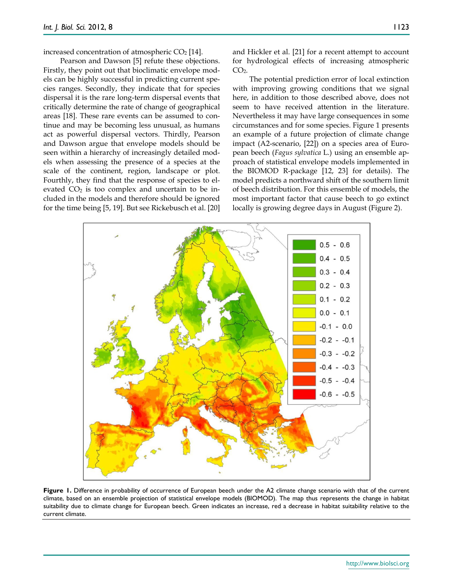Pearson and Dawson [5] refute these objections. Firstly, they point out that bioclimatic envelope models can be highly successful in predicting current species ranges. Secondly, they indicate that for species dispersal it is the rare long-term dispersal events that critically determine the rate of change of geographical areas [18]. These rare events can be assumed to continue and may be becoming less unusual, as humans act as powerful dispersal vectors. Thirdly, Pearson and Dawson argue that envelope models should be seen within a hierarchy of increasingly detailed models when assessing the presence of a species at the scale of the continent, region, landscape or plot. Fourthly, they find that the response of species to elevated  $CO<sub>2</sub>$  is too complex and uncertain to be included in the models and therefore should be ignored for the time being [5, 19]. But see Rickebusch et al. [20]

and Hickler et al. [21] for a recent attempt to account for hydrological effects of increasing atmospheric  $CO<sub>2</sub>$ .

The potential prediction error of local extinction with improving growing conditions that we signal here, in addition to those described above, does not seem to have received attention in the literature. Nevertheless it may have large consequences in some circumstances and for some species. Figure 1 presents an example of a future projection of climate change impact (A2-scenario, [22]) on a species area of European beech (*Fagus sylvatica* L.) using an ensemble approach of statistical envelope models implemented in the BIOMOD R-package [12, 23] for details). The model predicts a northward shift of the southern limit of beech distribution. For this ensemble of models, the most important factor that cause beech to go extinct locally is growing degree days in August (Figure 2).



Figure 1. Difference in probability of occurrence of European beech under the A2 climate change scenario with that of the current climate, based on an ensemble projection of statistical envelope models (BIOMOD). The map thus represents the change in habitat suitability due to climate change for European beech. Green indicates an increase, red a decrease in habitat suitability relative to the current climate.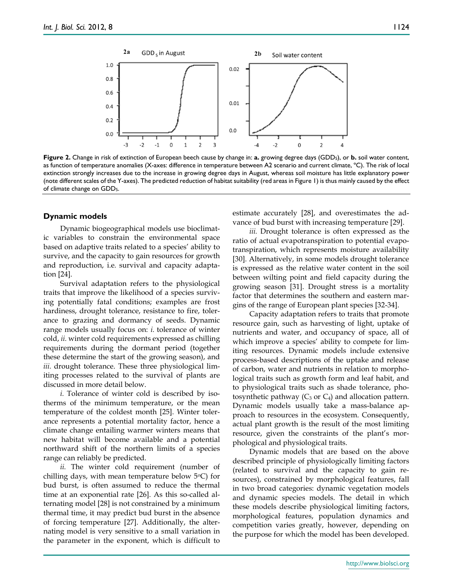

**Figure 2.** Change in risk of extinction of European beech cause by change in: **a.** growing degree days (GDD5), or **b.** soil water content, as function of temperature anomalies (X-axes: difference in temperature between A2 scenario and current climate, ºC). The risk of local extinction strongly increases due to the increase in growing degree days in August, whereas soil moisture has little explanatory power (note different scales of the Y-axes). The predicted reduction of habitat suitability (red areas in Figure 1) is thus mainly caused by the effect of climate change on GDD5.

#### **Dynamic models**

Dynamic biogeographical models use bioclimatic variables to constrain the environmental space based on adaptive traits related to a species' ability to survive, and the capacity to gain resources for growth and reproduction, i.e*.* survival and capacity adaptation [24].

Survival adaptation refers to the physiological traits that improve the likelihood of a species surviving potentially fatal conditions; examples are frost hardiness, drought tolerance, resistance to fire, tolerance to grazing and dormancy of seeds. Dynamic range models usually focus on: *i.* tolerance of winter cold, *ii.* winter cold requirements expressed as chilling requirements during the dormant period (together these determine the start of the growing season), and *iii.* drought tolerance. These three physiological limiting processes related to the survival of plants are discussed in more detail below.

*i.* Tolerance of winter cold is described by isotherms of the minimum temperature, or the mean temperature of the coldest month [25]. Winter tolerance represents a potential mortality factor, hence a climate change entailing warmer winters means that new habitat will become available and a potential northward shift of the northern limits of a species range can reliably be predicted.

*ii.* The winter cold requirement (number of chilling days, with mean temperature below  $5^{\circ}$ C) for bud burst, is often assumed to reduce the thermal time at an exponential rate [26]. As this so-called alternating model [28] is not constrained by a minimum thermal time, it may predict bud burst in the absence of forcing temperature [27]. Additionally, the alternating model is very sensitive to a small variation in the parameter in the exponent, which is difficult to estimate accurately [28], and overestimates the advance of bud burst with increasing temperature [29].

*iii.* Drought tolerance is often expressed as the ratio of actual evapotranspiration to potential evapotranspiration, which represents moisture availability [30]. Alternatively, in some models drought tolerance is expressed as the relative water content in the soil between wilting point and field capacity during the growing season [31]. Drought stress is a mortality factor that determines the southern and eastern margins of the range of European plant species [32-34].

Capacity adaptation refers to traits that promote resource gain, such as harvesting of light, uptake of nutrients and water, and occupancy of space, all of which improve a species' ability to compete for limiting resources. Dynamic models include extensive process-based descriptions of the uptake and release of carbon, water and nutrients in relation to morphological traits such as growth form and leaf habit, and to physiological traits such as shade tolerance, photosynthetic pathway ( $C_3$  or  $C_4$ ) and allocation pattern. Dynamic models usually take a mass-balance approach to resources in the ecosystem. Consequently, actual plant growth is the result of the most limiting resource, given the constraints of the plant's morphological and physiological traits.

Dynamic models that are based on the above described principle of physiologically limiting factors (related to survival and the capacity to gain resources), constrained by morphological features, fall in two broad categories: dynamic vegetation models and dynamic species models. The detail in which these models describe physiological limiting factors, morphological features, population dynamics and competition varies greatly, however, depending on the purpose for which the model has been developed.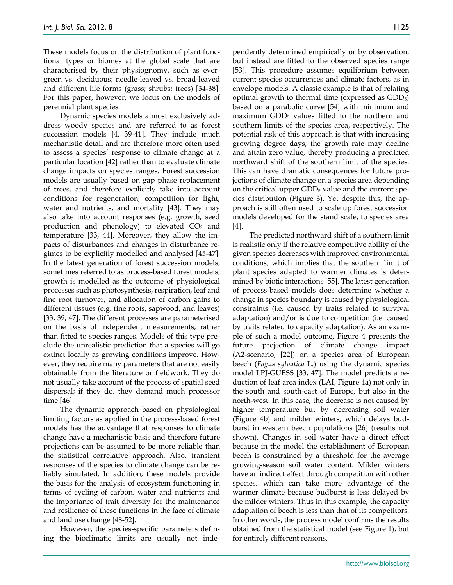These models focus on the distribution of plant functional types or biomes at the global scale that are characterised by their physiognomy, such as evergreen vs. deciduous; needle-leaved vs. broad-leaved and different life forms (grass; shrubs; trees) [34-38]. For this paper, however, we focus on the models of perennial plant species.

Dynamic species models almost exclusively address woody species and are referred to as forest succession models [4, 39-41]. They include much mechanistic detail and are therefore more often used to assess a species' response to climate change at a particular location [42] rather than to evaluate climate change impacts on species ranges. Forest succession models are usually based on gap phase replacement of trees, and therefore explicitly take into account conditions for regeneration, competition for light, water and nutrients, and mortality [43]. They may also take into account responses (e.g. growth, seed production and phenology) to elevated  $CO<sub>2</sub>$  and temperature [33, 44]. Moreover, they allow the impacts of disturbances and changes in disturbance regimes to be explicitly modelled and analysed [45-47]. In the latest generation of forest succession models, sometimes referred to as process-based forest models, growth is modelled as the outcome of physiological processes such as photosynthesis, respiration, leaf and fine root turnover, and allocation of carbon gains to different tissues (e.g. fine roots, sapwood, and leaves) [33, 39, 47]. The different processes are parameterised on the basis of independent measurements, rather than fitted to species ranges. Models of this type preclude the unrealistic prediction that a species will go extinct locally as growing conditions improve. However, they require many parameters that are not easily obtainable from the literature or fieldwork. They do not usually take account of the process of spatial seed dispersal; if they do, they demand much processor time [46].

The dynamic approach based on physiological limiting factors as applied in the process-based forest models has the advantage that responses to climate change have a mechanistic basis and therefore future projections can be assumed to be more reliable than the statistical correlative approach. Also, transient responses of the species to climate change can be reliably simulated. In addition, these models provide the basis for the analysis of ecosystem functioning in terms of cycling of carbon, water and nutrients and the importance of trait diversity for the maintenance and resilience of these functions in the face of climate and land use change [48-52].

However, the species-specific parameters defining the bioclimatic limits are usually not independently determined empirically or by observation, but instead are fitted to the observed species range [53]. This procedure assumes equilibrium between current species occurrences and climate factors, as in envelope models. A classic example is that of relating optimal growth to thermal time (expressed as GDD<sub>5</sub>) based on a parabolic curve [54] with minimum and maximum GDD<sub>5</sub> values fitted to the northern and southern limits of the species area, respectively. The potential risk of this approach is that with increasing growing degree days, the growth rate may decline and attain zero value, thereby producing a predicted northward shift of the southern limit of the species. This can have dramatic consequences for future projections of climate change on a species area depending on the critical upper  $GDD<sub>5</sub>$  value and the current species distribution (Figure 3). Yet despite this, the approach is still often used to scale up forest succession models developed for the stand scale, to species area [4].

The predicted northward shift of a southern limit is realistic only if the relative competitive ability of the given species decreases with improved environmental conditions, which implies that the southern limit of plant species adapted to warmer climates is determined by biotic interactions [55]. The latest generation of process-based models does determine whether a change in species boundary is caused by physiological constraints (i.e. caused by traits related to survival adaptation) and/or is due to competition (i.e. caused by traits related to capacity adaptation). As an example of such a model outcome, Figure 4 presents the future projection of climate change impact (A2-scenario, [22]) on a species area of European beech (*Fagus sylvatica* L.) using the dynamic species model LPJ-GUESS [33, 47]. The model predicts a reduction of leaf area index (LAI, Figure 4a) not only in the south and south-east of Europe, but also in the north-west. In this case, the decrease is not caused by higher temperature but by decreasing soil water (Figure 4b) and milder winters, which delays budburst in western beech populations [26] (results not shown). Changes in soil water have a direct effect because in the model the establishment of European beech is constrained by a threshold for the average growing-season soil water content. Milder winters have an indirect effect through competition with other species, which can take more advantage of the warmer climate because budburst is less delayed by the milder winters. Thus in this example, the capacity adaptation of beech is less than that of its competitors. In other words, the process model confirms the results obtained from the statistical model (see Figure 1), but for entirely different reasons.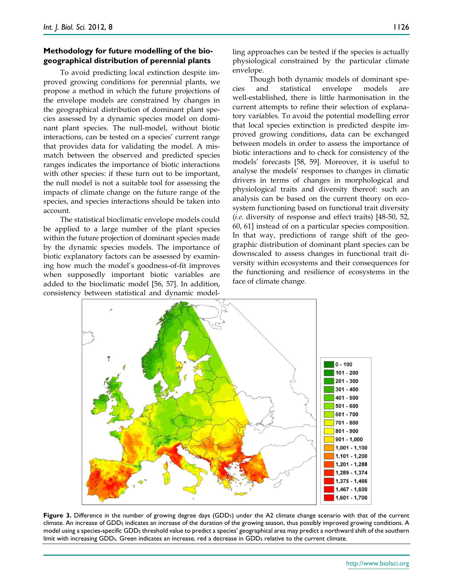#### **Methodology for future modelling of the biogeographical distribution of perennial plants**

To avoid predicting local extinction despite improved growing conditions for perennial plants, we propose a method in which the future projections of the envelope models are constrained by changes in the geographical distribution of dominant plant species assessed by a dynamic species model on dominant plant species. The null-model, without biotic interactions, can be tested on a species' current range that provides data for validating the model. A mismatch between the observed and predicted species ranges indicates the importance of biotic interactions with other species: if these turn out to be important, the null model is not a suitable tool for assessing the impacts of climate change on the future range of the species, and species interactions should be taken into account.

The statistical bioclimatic envelope models could be applied to a large number of the plant species within the future projection of dominant species made by the dynamic species models. The importance of biotic explanatory factors can be assessed by examining how much the model's goodness-of-fit improves when supposedly important biotic variables are added to the bioclimatic model [56, 57]. In addition, consistency between statistical and dynamic modelling approaches can be tested if the species is actually physiological constrained by the particular climate envelope.

Though both dynamic models of dominant species and statistical envelope models are well-established, there is little harmonisation in the current attempts to refine their selection of explanatory variables. To avoid the potential modelling error that local species extinction is predicted despite improved growing conditions, data can be exchanged between models in order to assess the importance of biotic interactions and to check for consistency of the models' forecasts [58, 59]. Moreover, it is useful to analyse the models' responses to changes in climatic drivers in terms of changes in morphological and physiological traits and diversity thereof: such an analysis can be based on the current theory on ecosystem functioning based on functional trait diversity (*i.e.* diversity of response and effect traits) [48-50, 52, 60, 61] instead of on a particular species composition. In that way, predictions of range shift of the geographic distribution of dominant plant species can be downscaled to assess changes in functional trait diversity within ecosystems and their consequences for the functioning and resilience of ecosystems in the face of climate change.



Figure 3. Difference in the number of growing degree days (GDD<sub>5</sub>) under the A2 climate change scenario with that of the current climate. An increase of GDD5 indicates an increase of the duration of the growing season, thus possibly improved growing conditions. A model using a species-specific GDD5 threshold value to predict a species' geographical area may predict a northward shift of the southern limit with increasing GDD<sub>5</sub>. Green indicates an increase, red a decrease in GDD<sub>5</sub> relative to the current climate.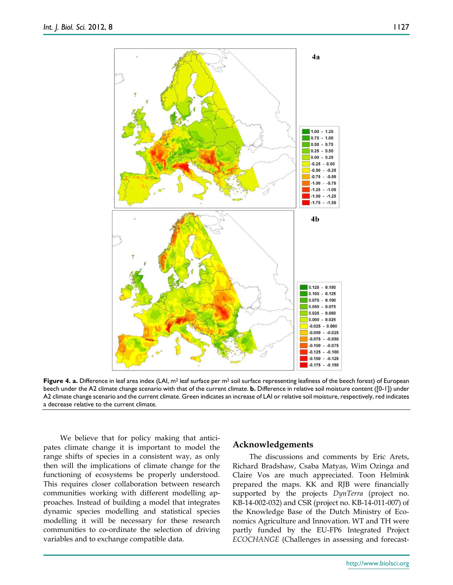

**Figure 4. a.** Difference in leaf area index (LAI, m<sup>2</sup> leaf surface per m<sup>2</sup> soil surface representing leafiness of the beech forest) of European beech under the A2 climate change scenario with that of the current climate. **b.** Difference in relative soil moisture content ([0-1]) under A2 climate change scenario and the current climate. Green indicates an increase of LAI or relative soil moisture, respectively, red indicates a decrease relative to the current climate.

We believe that for policy making that anticipates climate change it is important to model the range shifts of species in a consistent way, as only then will the implications of climate change for the functioning of ecosystems be properly understood. This requires closer collaboration between research communities working with different modelling approaches. Instead of building a model that integrates dynamic species modelling and statistical species modelling it will be necessary for these research communities to co-ordinate the selection of driving variables and to exchange compatible data.

#### **Acknowledgements**

The discussions and comments by Eric Arets, Richard Bradshaw, Csaba Matyas, Wim Ozinga and Claire Vos are much appreciated. Toon Helmink prepared the maps. KK and RJB were financially supported by the projects *DynTerra* (project no. KB-14-002-032) and CSR (project no. KB-14-011-007) of the Knowledge Base of the Dutch Ministry of Economics Agriculture and Innovation. WT and TH were partly funded by the EU-FP6 Integrated Project *ECOCHANGE* (Challenges in assessing and forecast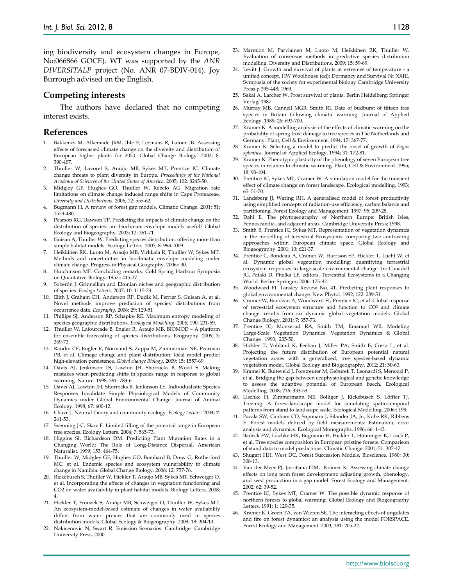ing biodiversity and ecosystem changes in Europe, No:066866 GOCE). WT was supported by the *ANR DIVERSITALP* project (No. ANR 07-BDIV-014). Joy Burrough advised on the English.

#### **Competing interests**

The authors have declared that no competing interest exists.

#### **References**

- 1. Bakkenes M, Alkemade JRM, Ihle F, Leemans R, Latour JB. Assessing effects of forecasted climate change on the diversity and distribution of European higher plants for 2050. Global Change Biology. 2002; 8: 390-407.
- 2. Thuiller W, Lavorel S, Araújo MB, Sykes MT, Prentice IC. Climate change threats to plant diversity in Europe. *Proceedings of the National Academy of Sciences of the United States of America*. 2005; 102: 8245-50.
- 3. Midgley GF, Hughes GO, Thuiller W, Rebelo AG. Migration rate limitations on climate change induced range shifts in Cape Proteaceae. *Diversity and Distributions*. 2006; 12: 555-62.
- 4. Bugmann H. A review of forest gap models. Climatic Change. 2001; 51: 1573-480.
- 5. Pearson RG, Dawson TP. Predicting the impacts of climate change on the distribution of species: are bioclimate envelope models useful? Global Ecology and Biogeography. 2003; 12: 361-71.
- Guisan A, Thuiller W. Predicting species distribution: offering more than simple habitat models. Ecology Letters. 2005; 8: 993-1009.
- 7. Heikkinen RK, Luoto M, Araújo MB, Virkkala R, Thuiller W, Sykes MT. Methods and uncertainties in bioclimatic envelope modeling under climate change. Progress in Physical Geography. 2006;: 30.
- 8. Hutchinson MF. Concluding remarks. Cold Spring Harbour Symposia on Quantative Biology; 1957;: 415-27.
- 9. Soberón J. Grinnellian and Eltonian niches and geographic distribution of species. *Ecology Letters*. 2007; 10: 1115-23.
- 10. Elith J, Graham CH, Anderson RP, Dudik M, Ferrier S, Guisan A, et al. Novel methods improve prediction of species' distributions from occurrence data. *Ecography*. 2006; 29: 129-51
- 11. Phillips SJ, Anderson RP, Schapire RE. Maximum entropy modeling of species geographic distributions. *Ecological Modelling*. 2006; 190: 231-59.
- 12. Thuiller W, Lafourcade B, Engler R, Araujo MB. BIOMOD A platform for ensemble forecasting of species distributions. Ecography. 2009; 3: 369-73.
- 13. Randin CF, Engler R, Normand S, Zappa M, Zimmerman NE, Pearman PB, et al. Climage change and plant distribution: local model predict high-elevation persistence. *Global change Biology*. 2009; 15: 1557-69.
- 14. Davis AJ, Jenkinson LS, Lawton JH, Shorrocks B, Wood S. Making mistakes when predicting shifts in species range in response to global warming. Nature. 1998; 391: 783-6.
- 15. Davis AJ, Lawton JH, Shorrocks B, Jenkinson LS. Individualistic Species Responses Invalidate Simple Physiological Models of Community Dynamics under Global Environmental Change. Journal of Animal Ecology. 1998; 67: 600-12.
- 16. Chave J. Neutral theory and community ecology. *Ecology Letters*. 2004; **7**: 241-53.
- 17. Svenning J-C, Skov F. Limited filling of the potential range in European tree species. Ecology Letters. 2004; 7: 565-73.
- 18. Higgins SI, Richardson DM. Predicting Plant Migration Rates in a Changing World: The Role of Long-Distance Dispersal. American Naturalist. 1999; 153: 464-75.
- 19. Thuiller W, Midgley GF, Hughes GO, Bomhard B, Drew G, Rutherford MC, et al. Endemic species and ecosystem vulnerability to climate change in Namibia. Global Change Biology. 2006; 12: 757-76.
- 20. Rickebusch S, Thuiller W, Hickler T, Araujo MB, Sykes MT, Schweiger O, et al. Incorporating the effects of changes in vegetation functioning and CO2 on water availability in plant habitat models. Biology Letters. 2008; 4.
- 21. Hickler T, Fronzek S, Araújo MB, Schweiger O, Thuiller W, Sykes MT. An ecosystem-model-based estimate of changes in water availability differs from water proxies that are commonly used in species distribution models. Global Ecology & Biogeography. 2009; 18: 304-13.
- 22. Nakicenovic N, Swart R. Emission Scenarios. Cambridge: Cambridge University Press, 2000.
- 23. Marmion M, Parviainen M, Luoto M, Heikkinen RK, Thuiller W. Evaluation of consensus methods in predictive species distribution modelling. Diversity and Distributions. 2009; 15: 59-69.
- 24. Levitt J. Growth and survival of plants at extremes of temperature a unified concept. HW Woolhouse (ed): Dormancy and Survival Nr XXIII, Symposia of the society for experimental biology Cambridge University Press p 395-448; 1969.
- 25. Sakai A, Larcher W. Frost survival of plants. Berlin Heidelberg: Springer Verlag; 1987.
- 26. Murray MB, Cannell MGR, Smith RI. Date of budburst of fifteen tree species in Britain following climatic warming. Journal of Applied Ecology. 1989; 26: 693-700.
- 27. Kramer K. A modelling analysis of the effects of climatic warming on the probability of spring frost damage to tree species in The Netherlands and Germany. Plant, Cell & Environment. 1994; 17: 367-77.
- 28. Kramer K. Selecting a model to predict the onset of growth of *Fagus sylvatica*. Journal of Applied Ecology. 1994; 31: 172-81.
- 29. Kramer K. Phenotypic plasticity of the phenology of seven European tree species in relation to climatic warming. Plant, Cell & Environment. 1995; 18: 93-104.
- 30. Prentice IC, Sykes MT, Cramer W. A simulation model for the transient effect of climate change on forest landscape. Ecological modelling. 1993; 65: 51-70.
- 31. Landsberg JJ, Waring RH. A generalised model of forest productivity using simplified concepts of radiation-use efficiency, carbon balance and partitioning. Forest Ecology and Management. 1997; 95: 209-28.
- 32. Dahl E. The phytogeography of Northern Europe: British Isles, Fennoscandia, and adjacent areas. Cambridge University Press; 1998.
- 33. Smith B, Prentice IC, Sykes MT. Representation of vegetation dynamics in the modelling of terrestrial Ecosystems: comparing two contrasting approaches within European climate space. Global Ecology and Biogeography. 2001; 10: 621-37.
- 34. Prentice C, Bondeau A, Cramer W, Harrison SP, Hickler T, Lucht W, et al. Dynamic global vegetation modelling: quantifying terrestrial ecosystem responses to large-scale environmental change. In: Canadell JG, Pataki D, Pitelka LF, editors. Terrestrial Ecosystems in a Changing World. Berlin: Springer; 2006: 175-92.
- 35. Woodward FI. Tansley Review No. 41. Predicting plant responses to global environmental change. New Phytol. 1992; 122: 239-51.
- 36. Cramer W, Bondeau A, Woodward FI, Prentice IC, et al. Global response of terrestrial ecosystem structure and function to CO² and climate change: results from six dynamic global vegetation models. Global Change Biology. 2001; 7: 357-73.
- 37. Prentice IC, Monserud RA, Smith TM, Emanuel WR. Modeling Large-Scale Vegetation Dynamics. Vegetation Dynamics & Global Change 1993;: 235-50.
- 38. Hickler T, Vohland K, Feehan J, Miller PA, Smith B, Costa L, et al. Projecting the future distribution of European potential natural vegetation zones with a generalized, tree species-based dynamic vegetation model. Global Ecology and Biogeography. 2012; 21: 50-63.
- 39. Kramer K, Buiteveld J, Forstreuter M, Geburek T, Leonardi S, Menozzi P, et al. Bridging the gap between ecophysiological and genetic knowledge to assess the adaptive potential of European beech. Ecological Modelling. 2008; 216: 333-53.
- 40. Lischke H, Zimmermann NE, Bolliger J, Rickebusch S, Löffler TJ. Treemig: A forest-landscape model for simulating spatio-temporal patterns from stand to landscape scale. Ecological Modelling. 2006;: 199.
- 41. Pacala SW, Canham CD, Saponara J, Silander JA, Jr., Kobe RK, Ribbens E. Forest models defined by field measurements: Estimation, error analysis and dynamics. Ecological Monographs. 1996; 66: 1-43.
- 42. Badeck FW, Lischke HK, Bugmann H, Hickler T, Hönninger K, Lasch P, et al. Tree species composition in European pristine forests. Comparison of stand data to model predictions. Climatic Change. 2001; 51: 307-47.
- 43. Shugart HH, West DC. Forest Succession Models. Bioscience. 1980; 30: 308-13.
- 44. Van der Meer PJ, Jorritsma ITM, Kramer K. Assessing climate change effects on long term forest development: adjusting growth, phenology, and seed production in a gap model. Forest Ecology and Management. 2002; 62: 39-52.
- 45. Prentice IC, Sykes MT, Cramer W. The possible dynamic response of northern forests to global warming. Global Ecology and Biogeography Letters. 1991; 1: 129-35.
- 46. Kramer K, Groen TA, van Wieren SE. The interacting effects of ungulates and fire on forest dynamics: an analysis using the model FORSPACE. Forest Ecology and Management. 2003; 181: 205-22.